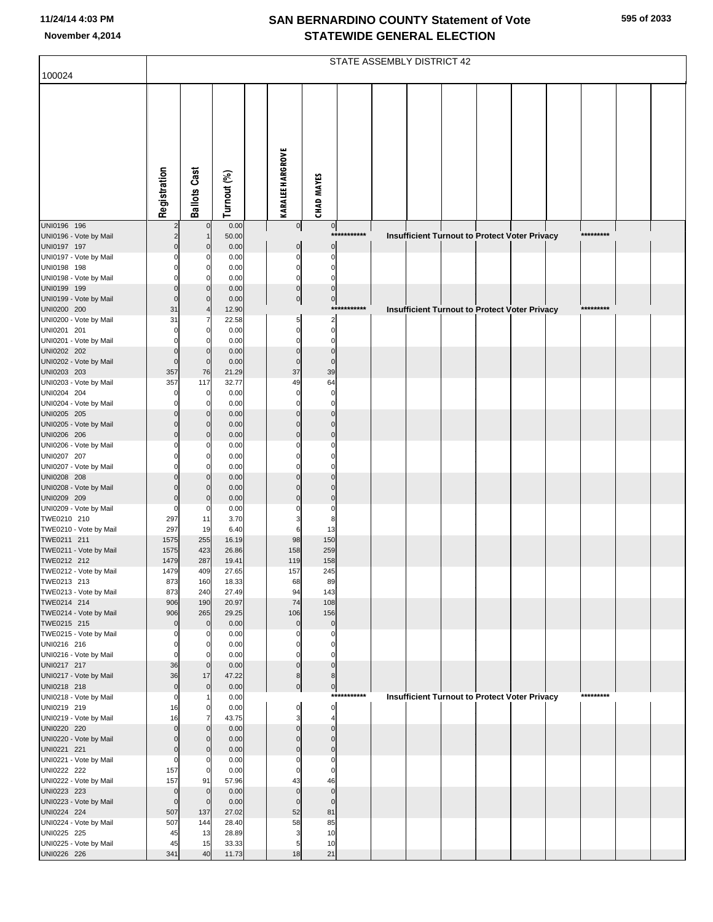|                                       | STATE ASSEMBLY DISTRICT 42 |                     |                |  |                            |                               |             |  |  |  |  |                                                      |  |           |  |
|---------------------------------------|----------------------------|---------------------|----------------|--|----------------------------|-------------------------------|-------------|--|--|--|--|------------------------------------------------------|--|-----------|--|
| 100024                                |                            |                     |                |  |                            |                               |             |  |  |  |  |                                                      |  |           |  |
|                                       | Registration               | <b>Ballots Cast</b> | Turnout (%)    |  | <b>KARALEE HARGROVE</b>    | <b>CHAD MAYES</b>             |             |  |  |  |  |                                                      |  |           |  |
| UNI0196 196                           |                            |                     | 0.00           |  | $\overline{0}$             | $\overline{0}$                |             |  |  |  |  |                                                      |  |           |  |
| UNI0196 - Vote by Mail                |                            |                     | 50.00          |  |                            |                               | *********** |  |  |  |  | <b>Insufficient Turnout to Protect Voter Privacy</b> |  | ********* |  |
| UNI0197 197<br>UNI0197 - Vote by Mail |                            |                     | 0.00<br>0.00   |  | 0<br>0                     | $\mathbf 0$<br>$\Omega$       |             |  |  |  |  |                                                      |  |           |  |
| UNI0198 198                           |                            |                     | 0.00           |  | $\mathbf 0$                | $\Omega$                      |             |  |  |  |  |                                                      |  |           |  |
| UNI0198 - Vote by Mail                |                            |                     | 0.00           |  | 0                          | $\Omega$                      |             |  |  |  |  |                                                      |  |           |  |
| UNI0199 199                           | $\Omega$                   |                     | 0.00           |  | $\mathbf 0$                | $\Omega$                      |             |  |  |  |  |                                                      |  |           |  |
| UNI0199 - Vote by Mail                | $\Omega$                   |                     | 0.00           |  | $\overline{0}$             | $\overline{0}$                |             |  |  |  |  |                                                      |  |           |  |
| UNI0200 200                           | 31                         |                     | 12.90          |  |                            |                               | *********** |  |  |  |  | <b>Insufficient Turnout to Protect Voter Privacy</b> |  | ********* |  |
| UNI0200 - Vote by Mail<br>UNI0201 201 | 31<br>$\Omega$             |                     | 22.58<br>0.00  |  | 5<br>$\mathbf 0$           | $\overline{2}$<br>$\mathbf 0$ |             |  |  |  |  |                                                      |  |           |  |
| UNI0201 - Vote by Mail                |                            |                     | 0.00           |  | 0                          | $\Omega$                      |             |  |  |  |  |                                                      |  |           |  |
| UNI0202 202                           | $\Omega$                   |                     | 0.00           |  | $\mathbf 0$                | $\mathbf 0$                   |             |  |  |  |  |                                                      |  |           |  |
| UNI0202 - Vote by Mail                | $\mathbf 0$                | $\Omega$            | 0.00           |  | $\mathbf 0$                | $\Omega$                      |             |  |  |  |  |                                                      |  |           |  |
| UNI0203 203                           | 357                        | 76                  | 21.29          |  | 37                         | 39                            |             |  |  |  |  |                                                      |  |           |  |
| UNI0203 - Vote by Mail                | 357                        | 117                 | 32.77          |  | 49                         | 64                            |             |  |  |  |  |                                                      |  |           |  |
| UNI0204 204<br>UNI0204 - Vote by Mail |                            |                     | 0.00<br>0.00   |  | $\Omega$<br>$\Omega$       | $\Omega$<br>$\Omega$          |             |  |  |  |  |                                                      |  |           |  |
| UNI0205 205                           |                            |                     | 0.00           |  | $\Omega$                   | $\Omega$                      |             |  |  |  |  |                                                      |  |           |  |
| UNI0205 - Vote by Mail                |                            |                     | 0.00           |  | $\Omega$                   | $\Omega$                      |             |  |  |  |  |                                                      |  |           |  |
| UNI0206 206                           | $\Omega$                   |                     | 0.00           |  | $\Omega$                   | $\Omega$                      |             |  |  |  |  |                                                      |  |           |  |
| UNI0206 - Vote by Mail                |                            |                     | 0.00           |  |                            |                               |             |  |  |  |  |                                                      |  |           |  |
| UNI0207 207                           |                            |                     | 0.00           |  |                            | C                             |             |  |  |  |  |                                                      |  |           |  |
| UNI0207 - Vote by Mail                |                            |                     | 0.00           |  |                            | $\Omega$                      |             |  |  |  |  |                                                      |  |           |  |
| UNI0208 208<br>UNI0208 - Vote by Mail |                            |                     | 0.00<br>0.00   |  |                            |                               |             |  |  |  |  |                                                      |  |           |  |
| UNI0209 209                           | $\Omega$                   |                     | 0.00           |  | $\Omega$                   | $\Omega$                      |             |  |  |  |  |                                                      |  |           |  |
| UNI0209 - Vote by Mail                | $\Omega$                   |                     | 0.00           |  |                            | $\Omega$                      |             |  |  |  |  |                                                      |  |           |  |
| TWE0210 210                           | 297                        | 11                  | 3.70           |  |                            | 8                             |             |  |  |  |  |                                                      |  |           |  |
| TWE0210 - Vote by Mail                | 297                        | 19                  | 6.40           |  | 6                          | 13                            |             |  |  |  |  |                                                      |  |           |  |
| TWE0211 211<br>TWE0211 - Vote by Mail | 1575<br>1575               | 255<br>423          | 16.19<br>26.86 |  | 98<br>158                  | 150<br>259                    |             |  |  |  |  |                                                      |  |           |  |
| TWE0212 212                           | 1479                       | 287                 | 19.41          |  | 119                        | 158                           |             |  |  |  |  |                                                      |  |           |  |
| TWE0212 - Vote by Mail                | 1479                       | 409                 | 27.65          |  | 157                        | 245                           |             |  |  |  |  |                                                      |  |           |  |
| TWE0213 213                           | 873                        | 160                 | 18.33          |  | 68                         | 89                            |             |  |  |  |  |                                                      |  |           |  |
| TWE0213 - Vote by Mail                | 873                        | 240                 | 27.49          |  | 94                         | 143                           |             |  |  |  |  |                                                      |  |           |  |
| TWE0214 214                           | 906                        | 190                 | 20.97          |  | 74                         | 108                           |             |  |  |  |  |                                                      |  |           |  |
| TWE0214 - Vote by Mail<br>TWE0215 215 | 906<br>$\mathbf 0$         | 265<br>$\mathbf 0$  | 29.25<br>0.00  |  | 106<br>$\mathbf 0$         | 156<br>$\mathbf 0$            |             |  |  |  |  |                                                      |  |           |  |
| TWE0215 - Vote by Mail                | $\mathbf 0$                |                     | 0.00           |  | $\mathbf 0$                | 0                             |             |  |  |  |  |                                                      |  |           |  |
| UNI0216 216                           | $\mathbf 0$                | $\Omega$            | 0.00           |  | $\Omega$                   | $\Omega$                      |             |  |  |  |  |                                                      |  |           |  |
| UNI0216 - Vote by Mail                | $\mathbf 0$                |                     | 0.00           |  | 0                          | $\Omega$                      |             |  |  |  |  |                                                      |  |           |  |
| UNI0217 217                           | 36                         | $\Omega$            | 0.00           |  | $\mathbf 0$                | $\overline{0}$                |             |  |  |  |  |                                                      |  |           |  |
| UNI0217 - Vote by Mail<br>UNI0218 218 | 36<br>$\mathbf 0$          | 17<br>$\mathbf 0$   | 47.22<br>0.00  |  | 8<br>$\mathbf 0$           | 8<br>$\overline{0}$           |             |  |  |  |  |                                                      |  |           |  |
| UNI0218 - Vote by Mail                | $\mathbf 0$                |                     | 0.00           |  |                            |                               | *********** |  |  |  |  | <b>Insufficient Turnout to Protect Voter Privacy</b> |  | ********* |  |
| UNI0219 219                           | 16                         | 0                   | 0.00           |  | $\mathbf 0$                | $\overline{0}$                |             |  |  |  |  |                                                      |  |           |  |
| UNI0219 - Vote by Mail                | 16                         | 7                   | 43.75          |  | 3                          | 4                             |             |  |  |  |  |                                                      |  |           |  |
| UNI0220 220                           | $\mathbf 0$                | $\Omega$            | 0.00           |  | $\Omega$                   | $\Omega$                      |             |  |  |  |  |                                                      |  |           |  |
| UNI0220 - Vote by Mail<br>UNI0221 221 | $\Omega$<br>$\mathbf 0$    | $\Omega$            | 0.00<br>0.00   |  | $\mathbf 0$<br>$\mathbf 0$ | $\mathbf 0$<br>$\overline{0}$ |             |  |  |  |  |                                                      |  |           |  |
| UNI0221 - Vote by Mail                | $\mathbf 0$                | 0                   | 0.00           |  | 0                          | 0                             |             |  |  |  |  |                                                      |  |           |  |
| UNI0222 222                           | 157                        | $\mathbf 0$         | 0.00           |  | $\mathbf 0$                | $\mathbf 0$                   |             |  |  |  |  |                                                      |  |           |  |
| UNI0222 - Vote by Mail                | 157                        | 91                  | 57.96          |  | 43                         | 46                            |             |  |  |  |  |                                                      |  |           |  |
| UNI0223 223                           | $\mathbf 0$                | $\Omega$            | 0.00           |  | $\mathbf 0$                | $\mathbf 0$                   |             |  |  |  |  |                                                      |  |           |  |
| UNI0223 - Vote by Mail                | $\mathbf 0$                | $\mathbf{0}$        | 0.00           |  | $\mathbf 0$                | $\mathbf 0$                   |             |  |  |  |  |                                                      |  |           |  |
| UNI0224 224<br>UNI0224 - Vote by Mail | 507<br>507                 | 137<br>144          | 27.02<br>28.40 |  | 52<br>58                   | 81<br>85                      |             |  |  |  |  |                                                      |  |           |  |
| UNI0225 225                           | 45                         | 13                  | 28.89          |  | 3                          | 10                            |             |  |  |  |  |                                                      |  |           |  |
| UNI0225 - Vote by Mail                | 45                         | 15                  | 33.33          |  | 5                          | 10                            |             |  |  |  |  |                                                      |  |           |  |
| UNI0226 226                           | 341                        | 40                  | 11.73          |  | 18                         | 21                            |             |  |  |  |  |                                                      |  |           |  |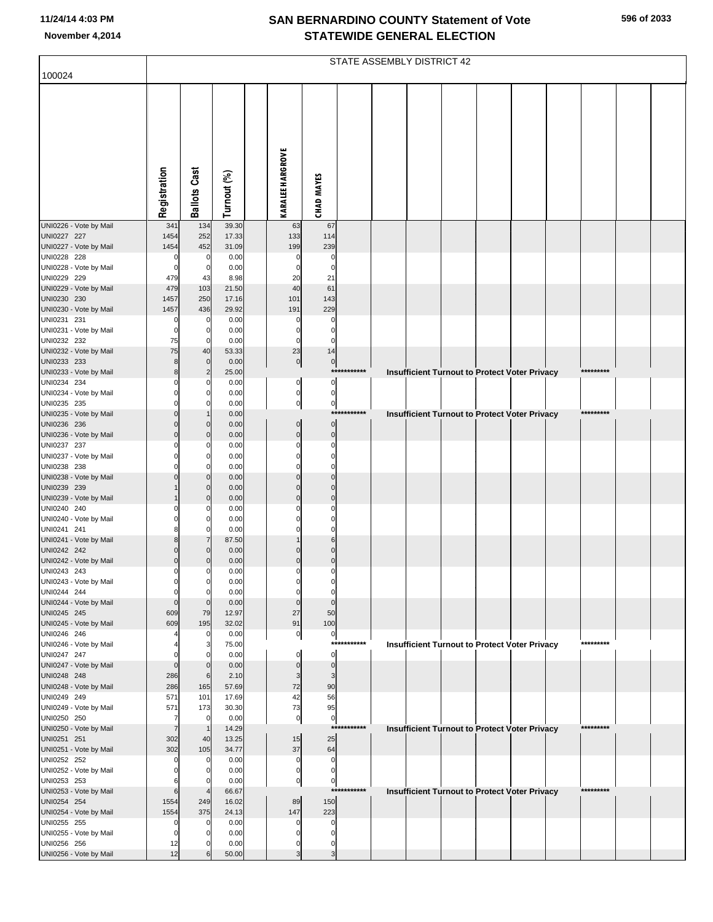|                                       | STATE ASSEMBLY DISTRICT 42 |                            |                |  |                          |                            |              |  |                                                      |  |  |  |  |           |  |
|---------------------------------------|----------------------------|----------------------------|----------------|--|--------------------------|----------------------------|--------------|--|------------------------------------------------------|--|--|--|--|-----------|--|
| 100024                                |                            |                            |                |  |                          |                            |              |  |                                                      |  |  |  |  |           |  |
|                                       | Registration               | <b>Ballots Cast</b>        | Turnout (%)    |  | <b>KARALEE HARGROVE</b>  | <b>CHAD MAYES</b>          |              |  |                                                      |  |  |  |  |           |  |
| UNI0226 - Vote by Mail                | 341                        | 134                        | 39.30          |  | 63                       | 67                         |              |  |                                                      |  |  |  |  |           |  |
| UNI0227 227                           | 1454                       | 252                        | 17.33          |  | 133                      | 114                        |              |  |                                                      |  |  |  |  |           |  |
| UNI0227 - Vote by Mail<br>UNI0228 228 | 1454<br>0                  | 452<br>0                   | 31.09<br>0.00  |  | 199<br>0                 | 239<br>0                   |              |  |                                                      |  |  |  |  |           |  |
| UNI0228 - Vote by Mail                | $\mathbf 0$                | $\mathbf 0$                | 0.00           |  | $\mathbf 0$              | $\mathbf 0$                |              |  |                                                      |  |  |  |  |           |  |
| UNI0229 229                           | 479                        | 43                         | 8.98           |  | 20                       | 21                         |              |  |                                                      |  |  |  |  |           |  |
| UNI0229 - Vote by Mail                | 479                        | 103                        | 21.50          |  | 40                       | 61                         |              |  |                                                      |  |  |  |  |           |  |
| UNI0230 230<br>UNI0230 - Vote by Mail | 1457<br>1457               | 250<br>436                 | 17.16<br>29.92 |  | 101<br>191               | 143<br>229                 |              |  |                                                      |  |  |  |  |           |  |
| UNI0231 231                           |                            | $\mathbf 0$                | 0.00           |  | 0                        | 0                          |              |  |                                                      |  |  |  |  |           |  |
| UNI0231 - Vote by Mail                | 0                          | 0                          | 0.00           |  | $\mathbf 0$              | $\mathbf 0$                |              |  |                                                      |  |  |  |  |           |  |
| UNI0232 232                           | 75                         | $\Omega$                   | 0.00           |  | $\mathbf 0$              | $\Omega$                   |              |  |                                                      |  |  |  |  |           |  |
| UNI0232 - Vote by Mail                | 75                         | 40                         | 53.33          |  | 23                       | 14                         |              |  |                                                      |  |  |  |  |           |  |
| UNI0233 233<br>UNI0233 - Vote by Mail | 8<br>8                     | $\overline{0}$             | 0.00<br>25.00  |  | $\overline{0}$           | $\overline{0}$             | ************ |  |                                                      |  |  |  |  | ********* |  |
| UNI0234 234                           | $\Omega$                   | 0                          | 0.00           |  | 0                        | $\mathbf 0$                |              |  | <b>Insufficient Turnout to Protect Voter Privacy</b> |  |  |  |  |           |  |
| UNI0234 - Vote by Mail                | $\Omega$                   | 0                          | 0.00           |  | $\pmb{0}$                | $\pmb{0}$                  |              |  |                                                      |  |  |  |  |           |  |
| UNI0235 235                           |                            | O                          | 0.00           |  | $\pmb{0}$                | $\overline{0}$             |              |  |                                                      |  |  |  |  |           |  |
| UNI0235 - Vote by Mail                | $\Omega$                   |                            | 0.00           |  |                          |                            | ***********  |  | <b>Insufficient Turnout to Protect Voter Privacy</b> |  |  |  |  | ********* |  |
| UNI0236 236                           | $\mathbf 0$<br>$\mathbf 0$ | $\Omega$<br>$\overline{0}$ | 0.00<br>0.00   |  | $\pmb{0}$<br>$\mathbf 0$ | $\pmb{0}$<br>$\mathbf 0$   |              |  |                                                      |  |  |  |  |           |  |
| UNI0236 - Vote by Mail<br>UNI0237 237 |                            | 0                          | 0.00           |  | 0                        | $\Omega$                   |              |  |                                                      |  |  |  |  |           |  |
| UNI0237 - Vote by Mail                | $\Omega$                   | 0                          | 0.00           |  | $\Omega$                 | $\Omega$                   |              |  |                                                      |  |  |  |  |           |  |
| UNI0238 238                           |                            | 0                          | 0.00           |  | C                        |                            |              |  |                                                      |  |  |  |  |           |  |
| UNI0238 - Vote by Mail                |                            | $\Omega$                   | 0.00           |  | $\Omega$                 | $\Omega$                   |              |  |                                                      |  |  |  |  |           |  |
| UNI0239 239<br>UNI0239 - Vote by Mail |                            | $\Omega$<br>$\mathbf 0$    | 0.00<br>0.00   |  | $\Omega$<br>$\Omega$     | $\Omega$<br>$\mathbf{0}$   |              |  |                                                      |  |  |  |  |           |  |
| UNI0240 240                           |                            | 0                          | 0.00           |  | O                        | O                          |              |  |                                                      |  |  |  |  |           |  |
| UNI0240 - Vote by Mail                | $\Omega$                   | $\Omega$                   | 0.00           |  | C                        | O                          |              |  |                                                      |  |  |  |  |           |  |
| UNI0241 241                           | 8                          | 0                          | 0.00           |  |                          | $\Omega$                   |              |  |                                                      |  |  |  |  |           |  |
| UNI0241 - Vote by Mail<br>UNI0242 242 | 8<br>$\mathbf 0$           | 0                          | 87.50<br>0.00  |  |                          | 6<br>$\Omega$              |              |  |                                                      |  |  |  |  |           |  |
| UNI0242 - Vote by Mail                | $\mathbf 0$                | $\Omega$                   | 0.00           |  | $\Omega$                 | $\mathbf 0$                |              |  |                                                      |  |  |  |  |           |  |
| UNI0243 243                           | 0                          | 0                          | 0.00           |  | 0                        | 0                          |              |  |                                                      |  |  |  |  |           |  |
| UNI0243 - Vote by Mail                | 0                          | $\mathbf{0}$               | 0.00           |  |                          |                            |              |  |                                                      |  |  |  |  |           |  |
| UNI0244 244                           | $\mathbf 0$                | 0                          | 0.00           |  | 0                        | $\mathbf 0$                |              |  |                                                      |  |  |  |  |           |  |
| UNI0244 - Vote by Mail<br>UNI0245 245 | $\mathbf 0$<br>609         | $\Omega$<br>79             | 0.00<br>12.97  |  | $\mathbf 0$<br>27        | $\mathbf{0}$<br>50         |              |  |                                                      |  |  |  |  |           |  |
| UNI0245 - Vote by Mail                | 609                        | 195                        | 32.02          |  | 91                       | 100                        |              |  |                                                      |  |  |  |  |           |  |
| UNI0246 246                           |                            | $\mathbf 0$                | 0.00           |  | $\mathbf 0$              | $\overline{0}$             |              |  |                                                      |  |  |  |  |           |  |
| UNI0246 - Vote by Mail                |                            |                            | 75.00          |  |                          |                            | ***********  |  | Insufficient Turnout to Protect Voter Privacy        |  |  |  |  | ********* |  |
| UNI0247 247<br>UNI0247 - Vote by Mail | $\mathbf 0$                | $\mathbf 0$                | 0.00<br>0.00   |  | 0<br>$\mathbf 0$         | $\mathbf 0$<br>$\mathbf 0$ |              |  |                                                      |  |  |  |  |           |  |
| UNI0248 248                           | 286                        | 6                          | 2.10           |  | 3                        | 3                          |              |  |                                                      |  |  |  |  |           |  |
| UNI0248 - Vote by Mail                | 286                        | 165                        | 57.69          |  | 72                       | 90                         |              |  |                                                      |  |  |  |  |           |  |
| UNI0249 249                           | 571                        | 101                        | 17.69          |  | 42                       | 56                         |              |  |                                                      |  |  |  |  |           |  |
| UNI0249 - Vote by Mail<br>UNI0250 250 | 571<br>7                   | 173<br>$\mathbf 0$         | 30.30<br>0.00  |  | 73<br>$\pmb{0}$          | 95<br>$\pmb{0}$            |              |  |                                                      |  |  |  |  |           |  |
| UNI0250 - Vote by Mail                | $\overline{7}$             | $\overline{1}$             | 14.29          |  |                          | $***$                      | ********     |  | <b>Insufficient Turnout to Protect Voter Privacy</b> |  |  |  |  | ********* |  |
| UNI0251 251                           | 302                        | 40                         | 13.25          |  | 15                       | 25                         |              |  |                                                      |  |  |  |  |           |  |
| UNI0251 - Vote by Mail                | 302                        | 105                        | 34.77          |  | 37                       | 64                         |              |  |                                                      |  |  |  |  |           |  |
| UNI0252 252                           | $\Omega$                   | $\Omega$                   | 0.00           |  | 0                        | 0                          |              |  |                                                      |  |  |  |  |           |  |
| UNI0252 - Vote by Mail<br>UNI0253 253 | $\Omega$<br>6              | 0                          | 0.00<br>0.00   |  | $\mathbf 0$<br>$\pmb{0}$ | $\mathbf 0$<br>0           |              |  |                                                      |  |  |  |  |           |  |
| UNI0253 - Vote by Mail                | $\,$ 6                     |                            | 66.67          |  |                          |                            | ************ |  | <b>Insufficient Turnout to Protect Voter Privacy</b> |  |  |  |  | ********* |  |
| UNI0254 254                           | 1554                       | 249                        | 16.02          |  | 89                       | 150                        |              |  |                                                      |  |  |  |  |           |  |
| UNI0254 - Vote by Mail                | 1554                       | 375                        | 24.13          |  | 147                      | 223                        |              |  |                                                      |  |  |  |  |           |  |
| UNI0255 255<br>UNI0255 - Vote by Mail | 0<br>$\Omega$              |                            | 0.00<br>0.00   |  | 0                        | 0<br>$\Omega$              |              |  |                                                      |  |  |  |  |           |  |
| UNI0256 256                           | 12                         |                            | 0.00           |  | 0                        | 0                          |              |  |                                                      |  |  |  |  |           |  |
| UNI0256 - Vote by Mail                | 12                         |                            | 50.00          |  | 3                        | 3                          |              |  |                                                      |  |  |  |  |           |  |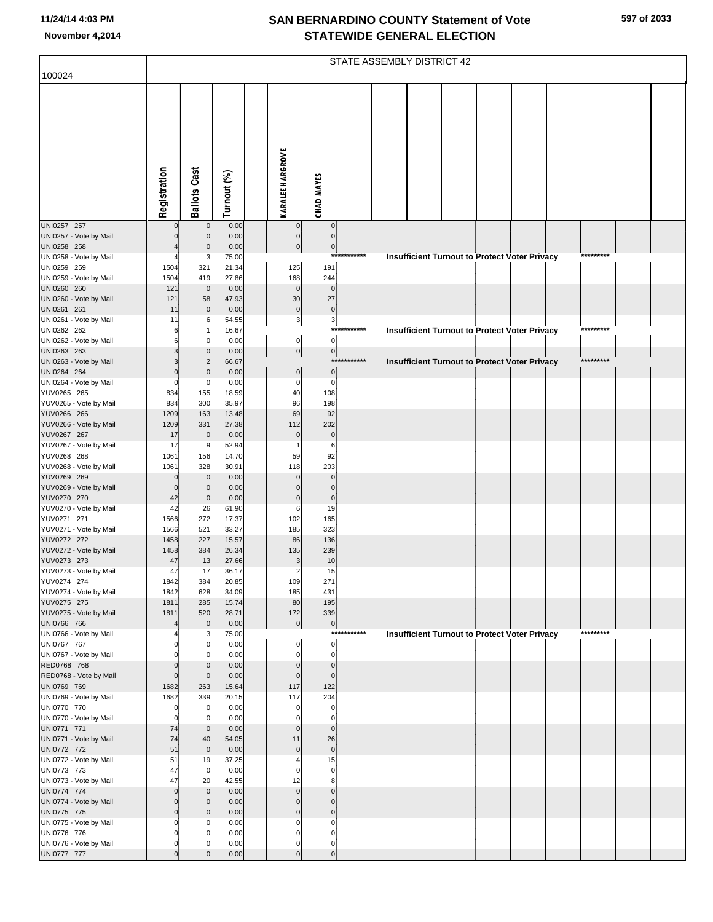|                                       | <b>STATE ASSEMBLY DISTRICT 42</b> |                     |                |  |                         |                         |             |  |  |  |  |                                                      |  |           |  |
|---------------------------------------|-----------------------------------|---------------------|----------------|--|-------------------------|-------------------------|-------------|--|--|--|--|------------------------------------------------------|--|-----------|--|
| 100024                                |                                   |                     |                |  |                         |                         |             |  |  |  |  |                                                      |  |           |  |
|                                       | Registration                      | <b>Ballots Cast</b> | Turnout (%)    |  | <b>KARALEE HARGROVE</b> | <b>CHAD MAYES</b>       |             |  |  |  |  |                                                      |  |           |  |
| UNI0257 257                           |                                   |                     | 0.00           |  | 0                       | $\mathbf 0$             |             |  |  |  |  |                                                      |  |           |  |
| UNI0257 - Vote by Mail                |                                   |                     | 0.00           |  | $\mathbf 0$             | $\mathbf 0$             |             |  |  |  |  |                                                      |  |           |  |
| UNI0258 258                           |                                   |                     | 0.00           |  | $\mathbf 0$             | $\pmb{0}$               | *********** |  |  |  |  |                                                      |  | ********* |  |
| UNI0258 - Vote by Mail<br>UNI0259 259 | 1504                              | 321                 | 75.00<br>21.34 |  | 125                     | 191                     |             |  |  |  |  | <b>Insufficient Turnout to Protect Voter Privacy</b> |  |           |  |
| UNI0259 - Vote by Mail                | 1504                              | 419                 | 27.86          |  | 168                     | 244                     |             |  |  |  |  |                                                      |  |           |  |
| UNI0260 260                           | 121                               | $\mathbf 0$         | 0.00           |  | $\mathbf 0$             | $\mathbf 0$             |             |  |  |  |  |                                                      |  |           |  |
| UNI0260 - Vote by Mail                | 121                               | 58                  | 47.93          |  | 30                      | 27                      |             |  |  |  |  |                                                      |  |           |  |
| UNI0261 261                           | 11                                | $\mathbf 0$         | 0.00           |  | $\mathbf 0$             | $\mathbf 0$             |             |  |  |  |  |                                                      |  |           |  |
| UNI0261 - Vote by Mail                | 11                                | 6                   | 54.55          |  | $\mathbf{3}$            | $\mathbf{3}$            | *********** |  |  |  |  |                                                      |  | ********* |  |
| UNI0262 262<br>UNI0262 - Vote by Mail | 6                                 |                     | 16.67<br>0.00  |  | $\overline{0}$          | $\overline{0}$          |             |  |  |  |  | Insufficient Turnout to Protect Voter Privacy        |  |           |  |
| UNI0263 263                           |                                   |                     | 0.00           |  | 0                       | $\overline{0}$          |             |  |  |  |  |                                                      |  |           |  |
| UNI0263 - Vote by Mail                |                                   |                     | 66.67          |  |                         | ****                    | ********    |  |  |  |  | <b>Insufficient Turnout to Protect Voter Privacy</b> |  | ********* |  |
| UNI0264 264                           | $\mathbf 0$                       |                     | 0.00           |  | $\mathbf 0$             | $\mathbf 0$             |             |  |  |  |  |                                                      |  |           |  |
| UNI0264 - Vote by Mail                | $\Omega$                          |                     | 0.00           |  | $\mathbf 0$             | $\mathbf 0$             |             |  |  |  |  |                                                      |  |           |  |
| YUV0265 265                           | 834                               | 155                 | 18.59          |  | 40                      | 108                     |             |  |  |  |  |                                                      |  |           |  |
| YUV0265 - Vote by Mail<br>YUV0266 266 | 834<br>1209                       | 300<br>163          | 35.97<br>13.48 |  | 96<br>69                | 198<br>92               |             |  |  |  |  |                                                      |  |           |  |
| YUV0266 - Vote by Mail                | 1209                              | 331                 | 27.38          |  | 112                     | 202                     |             |  |  |  |  |                                                      |  |           |  |
| YUV0267 267                           | 17                                |                     | 0.00           |  | $\mathbf 0$             | $\mathbf 0$             |             |  |  |  |  |                                                      |  |           |  |
| YUV0267 - Vote by Mail                | 17                                | 9                   | 52.94          |  |                         | 6                       |             |  |  |  |  |                                                      |  |           |  |
| YUV0268 268                           | 1061                              | 156                 | 14.70          |  | 59                      | 92                      |             |  |  |  |  |                                                      |  |           |  |
| YUV0268 - Vote by Mail                | 1061                              | 328                 | 30.91          |  | 118                     | 203                     |             |  |  |  |  |                                                      |  |           |  |
| YUV0269 269                           | $\Omega$<br>$\mathbf 0$           |                     | 0.00           |  | $\Omega$                | $\mathbf 0$<br>$\Omega$ |             |  |  |  |  |                                                      |  |           |  |
| YUV0269 - Vote by Mail<br>YUV0270 270 | 42                                |                     | 0.00<br>0.00   |  | $\mathbf 0$             | $\mathbf 0$             |             |  |  |  |  |                                                      |  |           |  |
| YUV0270 - Vote by Mail                | 42                                | 26                  | 61.90          |  | 6                       | 19                      |             |  |  |  |  |                                                      |  |           |  |
| YUV0271 271                           | 1566                              | 272                 | 17.37          |  | 102                     | 165                     |             |  |  |  |  |                                                      |  |           |  |
| YUV0271 - Vote by Mail                | 1566                              | 521                 | 33.27          |  | 185                     | 323                     |             |  |  |  |  |                                                      |  |           |  |
| YUV0272 272                           | 1458                              | 227                 | 15.57          |  | 86                      | 136                     |             |  |  |  |  |                                                      |  |           |  |
| YUV0272 - Vote by Mail<br>YUV0273 273 | 1458<br>47                        | 384<br>13           | 26.34<br>27.66 |  | 135<br>3                | 239<br>10               |             |  |  |  |  |                                                      |  |           |  |
| YUV0273 - Vote by Mail                | 47                                | 17                  | 36.17          |  | $\overline{2}$          | 15                      |             |  |  |  |  |                                                      |  |           |  |
| YUV0274 274                           | 1842                              | 384                 | 20.85          |  | 109                     | 271                     |             |  |  |  |  |                                                      |  |           |  |
| YUV0274 - Vote by Mail                | 1842                              | 628                 | 34.09          |  | 185                     | 431                     |             |  |  |  |  |                                                      |  |           |  |
| YUV0275 275                           | 1811                              | 285                 | 15.74          |  | 80                      | 195                     |             |  |  |  |  |                                                      |  |           |  |
| YUV0275 - Vote by Mail<br>UNI0766 766 | 1811<br>$\overline{4}$            | 520<br>$\mathbf 0$  | 28.71<br>0.00  |  | 172<br>$\overline{0}$   | 339                     |             |  |  |  |  |                                                      |  |           |  |
| UNI0766 - Vote by Mail                |                                   |                     | 75.00          |  |                         | $\circ$                 | *********** |  |  |  |  | Insufficient Turnout to Protect Voter Privacy        |  | ********* |  |
| UNI0767 767                           | O                                 |                     | 0.00           |  | $\Omega$                | $\overline{0}$          |             |  |  |  |  |                                                      |  |           |  |
| UNI0767 - Vote by Mail                |                                   |                     | 0.00           |  |                         | $\mathbf 0$             |             |  |  |  |  |                                                      |  |           |  |
| RED0768 768                           | $\mathbf 0$                       |                     | 0.00           |  | $\Omega$                | $\mathbf 0$             |             |  |  |  |  |                                                      |  |           |  |
| RED0768 - Vote by Mail<br>UNI0769 769 | $\mathbf 0$<br>1682               | $\Omega$<br>263     | 0.00<br>15.64  |  | $\Omega$<br>117         | $\mathbf 0$<br>122      |             |  |  |  |  |                                                      |  |           |  |
| UNI0769 - Vote by Mail                | 1682                              | 339                 | 20.15          |  | 117                     | 204                     |             |  |  |  |  |                                                      |  |           |  |
| UNI0770 770                           | $\mathbf 0$                       |                     | 0.00           |  | $\Omega$                | $\Omega$                |             |  |  |  |  |                                                      |  |           |  |
| UNI0770 - Vote by Mail                | $\mathbf 0$                       |                     | 0.00           |  | $\Omega$                | $\Omega$                |             |  |  |  |  |                                                      |  |           |  |
| UNI0771 771                           | 74                                | $\Omega$            | 0.00           |  | $\Omega$                | $\mathbf 0$             |             |  |  |  |  |                                                      |  |           |  |
| UNI0771 - Vote by Mail                | 74                                | 40                  | 54.05          |  | 11                      | 26                      |             |  |  |  |  |                                                      |  |           |  |
| UNI0772 772<br>UNI0772 - Vote by Mail | 51<br>51                          | $\mathbf 0$<br>19   | 0.00<br>37.25  |  | $\mathbf 0$<br>4        | $\mathbf 0$<br>15       |             |  |  |  |  |                                                      |  |           |  |
| UNI0773 773                           | 47                                | $\mathbf 0$         | 0.00           |  | $\Omega$                | $\mathbf 0$             |             |  |  |  |  |                                                      |  |           |  |
| UNI0773 - Vote by Mail                | 47                                | 20                  | 42.55          |  | 12                      | 8                       |             |  |  |  |  |                                                      |  |           |  |
| UNI0774 774                           | $\overline{0}$                    |                     | 0.00           |  | $\mathbf 0$             | $\Omega$                |             |  |  |  |  |                                                      |  |           |  |
| UNI0774 - Vote by Mail                | $\Omega$                          |                     | 0.00           |  | $\Omega$                | $\Omega$                |             |  |  |  |  |                                                      |  |           |  |
| UNI0775 775                           | $\Omega$                          |                     | 0.00           |  | $\Omega$                | $\Omega$                |             |  |  |  |  |                                                      |  |           |  |
| UNI0775 - Vote by Mail<br>UNI0776 776 | $\Omega$<br>$\Omega$              |                     | 0.00<br>0.00   |  | $\Omega$<br>$\Omega$    | C                       |             |  |  |  |  |                                                      |  |           |  |
| UNI0776 - Vote by Mail                | $\mathbf 0$                       |                     | 0.00           |  | $\Omega$                | 0                       |             |  |  |  |  |                                                      |  |           |  |
| UNI0777 777                           | $\Omega$                          |                     | 0.00           |  | $\mathcal{C}$           | $\Omega$                |             |  |  |  |  |                                                      |  |           |  |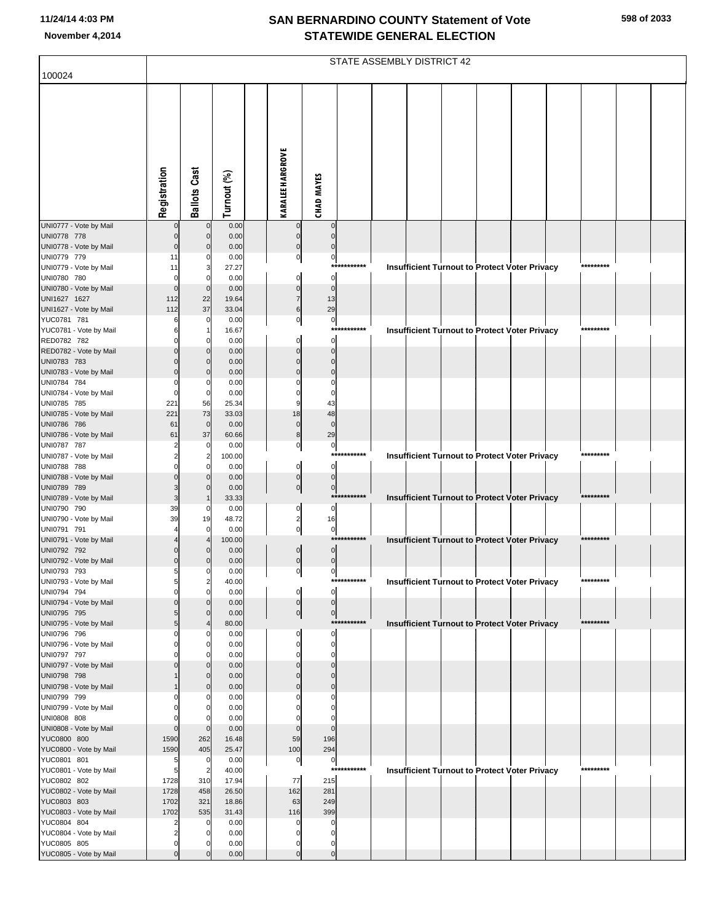|                                        | STATE ASSEMBLY DISTRICT 42 |                     |                |  |                                  |                              |             |  |  |  |  |                                                      |  |           |  |
|----------------------------------------|----------------------------|---------------------|----------------|--|----------------------------------|------------------------------|-------------|--|--|--|--|------------------------------------------------------|--|-----------|--|
| 100024                                 |                            |                     |                |  |                                  |                              |             |  |  |  |  |                                                      |  |           |  |
|                                        | Registration               | <b>Ballots Cast</b> | Turnout (%)    |  | <b>KARALEE HARGROVE</b>          | <b>CHAD MAYES</b>            |             |  |  |  |  |                                                      |  |           |  |
| UNI0777 - Vote by Mail                 |                            | $\mathbf 0$         | 0.00           |  | $\mathbf 0$                      | $\Omega$                     |             |  |  |  |  |                                                      |  |           |  |
| UNI0778 778<br>UNI0778 - Vote by Mail  | $\mathbf 0$                | $\mathbf{0}$        | 0.00<br>0.00   |  | $\mathbf 0$<br>$\Omega$          | $\mathsf{C}$                 |             |  |  |  |  |                                                      |  |           |  |
| UNI0779 779                            | 11                         |                     | 0.00           |  | $\pmb{0}$                        | 0                            |             |  |  |  |  |                                                      |  |           |  |
| UNI0779 - Vote by Mail                 | 11                         |                     | 27.27          |  |                                  |                              | *********** |  |  |  |  | <b>Insufficient Turnout to Protect Voter Privacy</b> |  | ********* |  |
| UNI0780 780                            | $\Omega$                   |                     | 0.00           |  | $\Omega$                         | $\mathbf 0$                  |             |  |  |  |  |                                                      |  |           |  |
| UNI0780 - Vote by Mail                 | $\Omega$                   | $\mathbf 0$         | 0.00           |  | $\Omega$                         | $\mathbf 0$                  |             |  |  |  |  |                                                      |  |           |  |
| UNI1627 1627<br>UNI1627 - Vote by Mail | 112<br>112                 | 22<br>37            | 19.64<br>33.04 |  | $\overline{7}$<br>$6\phantom{1}$ | 13<br>29                     |             |  |  |  |  |                                                      |  |           |  |
| YUC0781 781                            | 6                          | 0                   | 0.00           |  | $\mathbf 0$                      | $\pmb{0}$                    |             |  |  |  |  |                                                      |  |           |  |
| YUC0781 - Vote by Mail                 | 6                          |                     | 16.67          |  |                                  |                              | *********** |  |  |  |  | <b>Insufficient Turnout to Protect Voter Privacy</b> |  | ********* |  |
| RED0782 782                            |                            |                     | 0.00           |  | $\Omega$                         | $\Omega$                     |             |  |  |  |  |                                                      |  |           |  |
| RED0782 - Vote by Mail                 |                            |                     | 0.00           |  | $\Omega$                         |                              |             |  |  |  |  |                                                      |  |           |  |
| UNI0783 783                            |                            |                     | 0.00           |  | $\Omega$                         | C                            |             |  |  |  |  |                                                      |  |           |  |
| UNI0783 - Vote by Mail<br>UNI0784 784  | $\Omega$                   |                     | 0.00<br>0.00   |  | $\Omega$                         | $\mathcal{C}$<br>C           |             |  |  |  |  |                                                      |  |           |  |
| UNI0784 - Vote by Mail                 | $\Omega$                   | 0                   | 0.00           |  | $\Omega$                         | $\mathsf{C}$                 |             |  |  |  |  |                                                      |  |           |  |
| UNI0785 785                            | 221                        | 56                  | 25.34          |  | 9                                | 43                           |             |  |  |  |  |                                                      |  |           |  |
| UNI0785 - Vote by Mail                 | 221                        | 73                  | 33.03          |  | 18                               | 48                           |             |  |  |  |  |                                                      |  |           |  |
| UNI0786 786                            | 61                         | $\mathbf 0$         | 0.00           |  | $\mathbf 0$                      | $\mathbf 0$                  |             |  |  |  |  |                                                      |  |           |  |
| UNI0786 - Vote by Mail                 | 61                         | 37                  | 60.66          |  | 8                                | 29                           |             |  |  |  |  |                                                      |  |           |  |
| UNI0787 787<br>UNI0787 - Vote by Mail  | $\overline{c}$             | 0                   | 0.00<br>100.00 |  | $\pmb{0}$                        | $\pmb{0}$                    | *********** |  |  |  |  | <b>Insufficient Turnout to Protect Voter Privacy</b> |  | ********* |  |
| UNI0788 788                            |                            |                     | 0.00           |  | $\mathbf 0$                      | $\Omega$                     |             |  |  |  |  |                                                      |  |           |  |
| UNI0788 - Vote by Mail                 |                            |                     | 0.00           |  | $\mathbf 0$                      | $\mathcal{C}$                |             |  |  |  |  |                                                      |  |           |  |
| UNI0789 789                            |                            |                     | 0.00           |  | $\overline{0}$                   | $\pmb{0}$                    |             |  |  |  |  |                                                      |  |           |  |
| UNI0789 - Vote by Mail                 | 3                          |                     | 33.33          |  |                                  |                              | *********** |  |  |  |  | Insufficient Turnout to Protect Voter Privacy        |  | ********* |  |
| UNI0790 790<br>UNI0790 - Vote by Mail  | 39<br>39                   | 0<br>19             | 0.00<br>48.72  |  | $\mathbf 0$<br>$\overline{c}$    | $\mathbf 0$<br>16            |             |  |  |  |  |                                                      |  |           |  |
| UNI0791 791                            |                            | 0                   | 0.00           |  | $\pmb{0}$                        | $\pmb{0}$                    |             |  |  |  |  |                                                      |  |           |  |
| UNI0791 - Vote by Mail                 |                            |                     | 100.00         |  |                                  |                              | *********** |  |  |  |  | Insufficient Turnout to Protect Voter Privacy        |  | ********* |  |
| UNI0792 792                            |                            |                     | 0.00           |  | $\Omega$                         | $\Omega$                     |             |  |  |  |  |                                                      |  |           |  |
| UNI0792 - Vote by Mail                 | $\Omega$                   |                     | 0.00           |  | $\mathbf 0$                      | $\Omega$                     |             |  |  |  |  |                                                      |  |           |  |
| UNI0793 793<br>UNI0793 - Vote by Mail  | 5<br>5                     |                     | 0.00<br>40.00  |  | $\mathbf 0$                      | $\mathbf 0$                  | *********** |  |  |  |  | <b>Insufficient Turnout to Protect Voter Privacy</b> |  | ********* |  |
| UNI0794 794                            | $\Omega$                   | $\Omega$            | 0.00           |  | 0                                | $\mathbf 0$                  |             |  |  |  |  |                                                      |  |           |  |
| UNI0794 - Vote by Mail                 |                            |                     | 0.00           |  | $\mathbf 0$                      |                              |             |  |  |  |  |                                                      |  |           |  |
| UNI0795 795                            |                            |                     | 0.00           |  | $\overline{0}$                   | $\mathbf 0$                  |             |  |  |  |  |                                                      |  |           |  |
| UNI0795 - Vote by Mail                 | 5                          |                     | 80.00          |  | $\Omega$                         |                              | *********** |  |  |  |  | Insufficient Turnout to Protect Voter Privacy        |  | ********* |  |
| UNI0796 796<br>UNI0796 - Vote by Mail  |                            |                     | 0.00<br>0.00   |  | $\Omega$                         | $\mathbf 0$<br>$\mathcal{C}$ |             |  |  |  |  |                                                      |  |           |  |
| UNI0797 797                            |                            |                     | 0.00           |  |                                  |                              |             |  |  |  |  |                                                      |  |           |  |
| UNI0797 - Vote by Mail                 |                            |                     | 0.00           |  | $\Omega$                         | C                            |             |  |  |  |  |                                                      |  |           |  |
| UNI0798 798                            |                            |                     | 0.00           |  |                                  | C                            |             |  |  |  |  |                                                      |  |           |  |
| UNI0798 - Vote by Mail<br>UNI0799 799  |                            |                     | 0.00<br>0.00   |  | $\Omega$<br>O                    | $\mathcal{C}$<br>C           |             |  |  |  |  |                                                      |  |           |  |
| UNI0799 - Vote by Mail                 |                            |                     | 0.00           |  |                                  |                              |             |  |  |  |  |                                                      |  |           |  |
| UNI0808 808                            |                            |                     | 0.00           |  |                                  |                              |             |  |  |  |  |                                                      |  |           |  |
| UNI0808 - Vote by Mail                 | $\Omega$                   | $\Omega$            | 0.00           |  | $\Omega$                         | $\mathcal{C}$                |             |  |  |  |  |                                                      |  |           |  |
| YUC0800 800                            | 1590                       | 262                 | 16.48          |  | 59                               | 196                          |             |  |  |  |  |                                                      |  |           |  |
| YUC0800 - Vote by Mail                 | 1590                       | 405                 | 25.47          |  | 100                              | 294                          |             |  |  |  |  |                                                      |  |           |  |
| YUC0801 801<br>YUC0801 - Vote by Mail  | 5<br>5                     | 0<br>$\overline{2}$ | 0.00<br>40.00  |  | $\pmb{0}$                        | $\mathbf 0$                  | *********** |  |  |  |  | <b>Insufficient Turnout to Protect Voter Privacy</b> |  | ********* |  |
| YUC0802 802                            | 1728                       | 310                 | 17.94          |  | 77                               | 215                          |             |  |  |  |  |                                                      |  |           |  |
| YUC0802 - Vote by Mail                 | 1728                       | 458                 | 26.50          |  | 162                              | 281                          |             |  |  |  |  |                                                      |  |           |  |
| YUC0803 803                            | 1702                       | 321                 | 18.86          |  | 63                               | 249                          |             |  |  |  |  |                                                      |  |           |  |
| YUC0803 - Vote by Mail                 | 1702                       | 535                 | 31.43          |  | 116                              | 399                          |             |  |  |  |  |                                                      |  |           |  |
| YUC0804 804<br>YUC0804 - Vote by Mail  | $\overline{2}$             |                     | 0.00<br>0.00   |  | O                                | C<br>C                       |             |  |  |  |  |                                                      |  |           |  |
| YUC0805 805                            | 0                          |                     | 0.00           |  | 0                                | C                            |             |  |  |  |  |                                                      |  |           |  |
| YUC0805 - Vote by Mail                 |                            |                     | 0.00           |  | $\Omega$                         | $\Omega$                     |             |  |  |  |  |                                                      |  |           |  |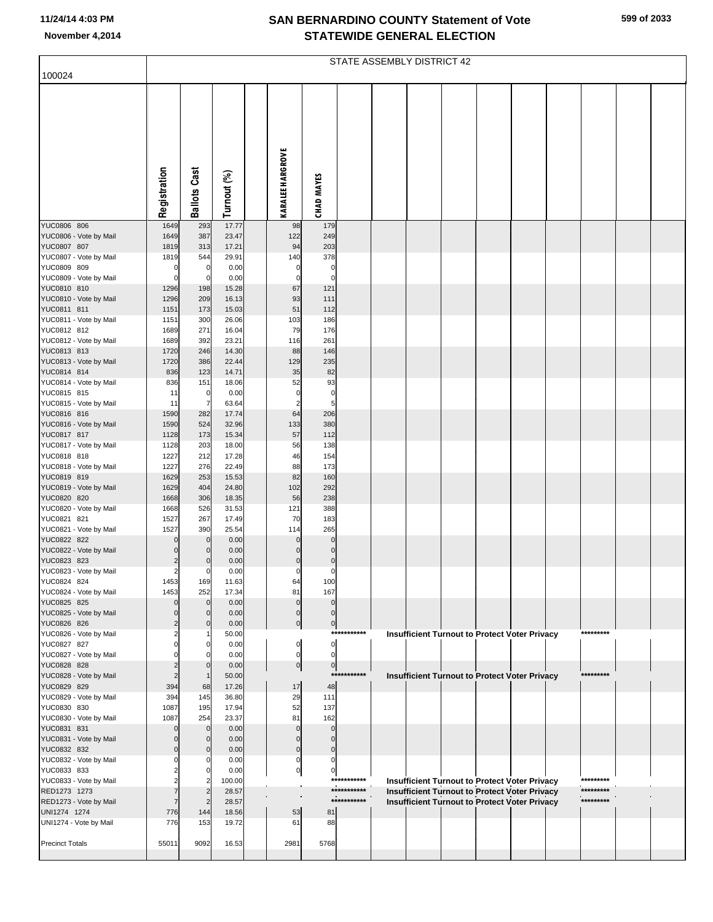|  |  | 599 of 2033 |
|--|--|-------------|
|--|--|-------------|

|                                        | STATE ASSEMBLY DISTRICT 42 |                            |                |  |                                |                                  |                            |  |  |  |  |                                                      |                        |  |
|----------------------------------------|----------------------------|----------------------------|----------------|--|--------------------------------|----------------------------------|----------------------------|--|--|--|--|------------------------------------------------------|------------------------|--|
| 100024                                 |                            |                            |                |  |                                |                                  |                            |  |  |  |  |                                                      |                        |  |
|                                        | Registration               | <b>Ballots Cast</b>        | Turnout (%)    |  | <b>KARALEE HARGROVE</b>        | <b>CHAD MAYES</b>                |                            |  |  |  |  |                                                      |                        |  |
| YUC0806 806                            | 1649                       | 293                        | 17.77          |  | 98                             | 179                              |                            |  |  |  |  |                                                      |                        |  |
| YUC0806 - Vote by Mail                 | 1649                       | 387                        | 23.47          |  | 122                            | 249                              |                            |  |  |  |  |                                                      |                        |  |
| YUC0807 807                            | 1819                       | 313                        | 17.21          |  | 94                             | 203                              |                            |  |  |  |  |                                                      |                        |  |
| YUC0807 - Vote by Mail<br>YUC0809 809  | 1819<br>0                  | 544<br>0                   | 29.91<br>0.00  |  | 140<br>$\mathbf 0$             | 378<br>0                         |                            |  |  |  |  |                                                      |                        |  |
| YUC0809 - Vote by Mail                 | C                          | $\mathbf 0$                | 0.00           |  | 0                              | $\mathbf 0$                      |                            |  |  |  |  |                                                      |                        |  |
| YUC0810 810                            | 1296                       | 198                        | 15.28          |  | 67                             | 121                              |                            |  |  |  |  |                                                      |                        |  |
| YUC0810 - Vote by Mail<br>YUC0811 811  | 1296<br>1151               | 209<br>173                 | 16.13<br>15.03 |  | 93<br>51                       | 111<br>112                       |                            |  |  |  |  |                                                      |                        |  |
| YUC0811 - Vote by Mail                 | 1151                       | 300                        | 26.06          |  | 103                            | 186                              |                            |  |  |  |  |                                                      |                        |  |
| YUC0812 812                            | 1689                       | 271                        | 16.04          |  | 79                             | 176                              |                            |  |  |  |  |                                                      |                        |  |
| YUC0812 - Vote by Mail<br>YUC0813 813  | 1689<br>1720               | 392<br>246                 | 23.21<br>14.30 |  | 116<br>88                      | 261<br>146                       |                            |  |  |  |  |                                                      |                        |  |
| YUC0813 - Vote by Mail                 | 1720                       | 386                        | 22.44          |  | 129                            | 235                              |                            |  |  |  |  |                                                      |                        |  |
| YUC0814 814                            | 836                        | 123                        | 14.71          |  | 35                             | 82                               |                            |  |  |  |  |                                                      |                        |  |
| YUC0814 - Vote by Mail                 | 836                        | 151                        | 18.06          |  | 52                             | 93                               |                            |  |  |  |  |                                                      |                        |  |
| YUC0815 815<br>YUC0815 - Vote by Mail  | 11<br>11                   | 0<br>$\overline{7}$        | 0.00<br>63.64  |  | 0<br>2                         | 0<br>5 <sub>5</sub>              |                            |  |  |  |  |                                                      |                        |  |
| YUC0816 816                            | 1590                       | 282                        | 17.74          |  | 64                             | 206                              |                            |  |  |  |  |                                                      |                        |  |
| YUC0816 - Vote by Mail                 | 1590                       | 524                        | 32.96          |  | 133                            | 380                              |                            |  |  |  |  |                                                      |                        |  |
| YUC0817 817<br>YUC0817 - Vote by Mail  | 1128<br>1128               | 173<br>203                 | 15.34<br>18.00 |  | 57<br>56                       | 112<br>138                       |                            |  |  |  |  |                                                      |                        |  |
| YUC0818 818                            | 1227                       | 212                        | 17.28          |  | 46                             | 154                              |                            |  |  |  |  |                                                      |                        |  |
| YUC0818 - Vote by Mail                 | 1227                       | 276                        | 22.49          |  | 88                             | 173                              |                            |  |  |  |  |                                                      |                        |  |
| YUC0819 819                            | 1629                       | 253                        | 15.53          |  | 82                             | 160                              |                            |  |  |  |  |                                                      |                        |  |
| YUC0819 - Vote by Mail<br>YUC0820 820  | 1629<br>1668               | 404<br>306                 | 24.80<br>18.35 |  | 102<br>56                      | 292<br>238                       |                            |  |  |  |  |                                                      |                        |  |
| YUC0820 - Vote by Mail                 | 1668                       | 526                        | 31.53          |  | 121                            | 388                              |                            |  |  |  |  |                                                      |                        |  |
| YUC0821 821                            | 1527                       | 267                        | 17.49          |  | 70                             | 183                              |                            |  |  |  |  |                                                      |                        |  |
| YUC0821 - Vote by Mail<br>YUC0822 822  | 1527                       | 390<br>$\mathbf 0$         | 25.54<br>0.00  |  | 114<br>$\Omega$                | 265<br>$\mathbf{0}$              |                            |  |  |  |  |                                                      |                        |  |
| YUC0822 - Vote by Mail                 | 0                          | $\mathbf 0$                | 0.00           |  | $\mathbf 0$                    | $\mathbf 0$                      |                            |  |  |  |  |                                                      |                        |  |
| YUC0823 823                            | 2                          | $\mathbf 0$                | 0.00           |  | $\overline{0}$                 | $\overline{0}$                   |                            |  |  |  |  |                                                      |                        |  |
| YUC0823 - Vote by Mail<br>YUC0824 824  | $\overline{2}$<br>1453     | $\overline{0}$<br>169      | 0.00<br>11.63  |  | $\overline{0}$<br>64           | $\overline{0}$<br>100            |                            |  |  |  |  |                                                      |                        |  |
| YUC0824 - Vote by Mail                 | 1453                       | 252                        | 17.34          |  | 81                             | 167                              |                            |  |  |  |  |                                                      |                        |  |
| YUC0825 825                            |                            | $\mathbf 0$                | 0.00           |  | $\mathbf 0$                    | $\Omega$                         |                            |  |  |  |  |                                                      |                        |  |
| YUC0825 - Vote by Mail<br>YUC0826 826  |                            | $\mathbf 0$<br>$\Omega$    | 0.00<br>0.00   |  | $\overline{0}$                 | $\mathbf 0$<br>$\overline{0}$    |                            |  |  |  |  |                                                      |                        |  |
| YUC0826 - Vote by Mail                 |                            |                            | 50.00          |  | $\overline{0}$                 |                                  | ***********                |  |  |  |  | Insufficient Turnout to Protect Voter Privacy        | *********              |  |
| YUC0827 827                            |                            | $\Omega$                   | 0.00           |  | $\mathbf{0}$                   | $\overline{0}$                   |                            |  |  |  |  |                                                      |                        |  |
| YUC0827 - Vote by Mail                 |                            | $\mathbf 0$                | 0.00           |  | $\mathbf{0}$                   | $\mathbf{0}$                     |                            |  |  |  |  |                                                      |                        |  |
| YUC0828 828<br>YUC0828 - Vote by Mail  |                            | $\Omega$<br>$\overline{1}$ | 0.00<br>50.00  |  | $\overline{0}$                 | $\overline{0}$                   | ***********                |  |  |  |  | <b>Insufficient Turnout to Protect Voter Privacy</b> | *********              |  |
| YUC0829 829                            | 394                        | 68                         | 17.26          |  | 17                             | 48                               |                            |  |  |  |  |                                                      |                        |  |
| YUC0829 - Vote by Mail                 | 394                        | 145                        | 36.80          |  | 29                             | 111                              |                            |  |  |  |  |                                                      |                        |  |
| YUC0830 830<br>YUC0830 - Vote by Mail  | 1087<br>1087               | 195<br>254                 | 17.94<br>23.37 |  | 52<br>81                       | 137<br>162                       |                            |  |  |  |  |                                                      |                        |  |
| YUC0831 831                            |                            | $\mathbf 0$                | 0.00           |  | $\mathbf 0$                    | $\Omega$                         |                            |  |  |  |  |                                                      |                        |  |
| YUC0831 - Vote by Mail                 | O                          | $\mathbf 0$                | 0.00           |  | $\Omega$                       | $\mathbf 0$                      |                            |  |  |  |  |                                                      |                        |  |
| YUC0832 832<br>YUC0832 - Vote by Mail  |                            | $\Omega$<br>0              | 0.00<br>0.00   |  | $\overline{0}$<br>$\mathbf{0}$ | $\overline{0}$<br>$\overline{0}$ |                            |  |  |  |  |                                                      |                        |  |
| YUC0833 833                            |                            | $\Omega$                   | 0.00           |  | $\overline{0}$                 | $\overline{0}$                   |                            |  |  |  |  |                                                      |                        |  |
| YUC0833 - Vote by Mail                 |                            | $\overline{2}$             | 100.00         |  |                                |                                  | ***********                |  |  |  |  | Insufficient Turnout to Protect Voter Privacy        | *********              |  |
| RED1273 1273                           |                            | $\overline{c}$             | 28.57          |  |                                |                                  | ***********<br>*********** |  |  |  |  | <b>Insufficient Turnout to Protect Voter Privacy</b> | *********<br>********* |  |
| RED1273 - Vote by Mail<br>UNI1274 1274 | 776                        | $\overline{2}$<br>144      | 28.57<br>18.56 |  | 53                             | 81                               |                            |  |  |  |  | <b>Insufficient Turnout to Protect Voter Privacy</b> |                        |  |
| UNI1274 - Vote by Mail                 | 776                        | 153                        | 19.72          |  | 61                             | 88                               |                            |  |  |  |  |                                                      |                        |  |
|                                        |                            |                            |                |  |                                |                                  |                            |  |  |  |  |                                                      |                        |  |
| <b>Precinct Totals</b>                 | 55011                      | 9092                       | 16.53          |  | 2981                           | 5768                             |                            |  |  |  |  |                                                      |                        |  |